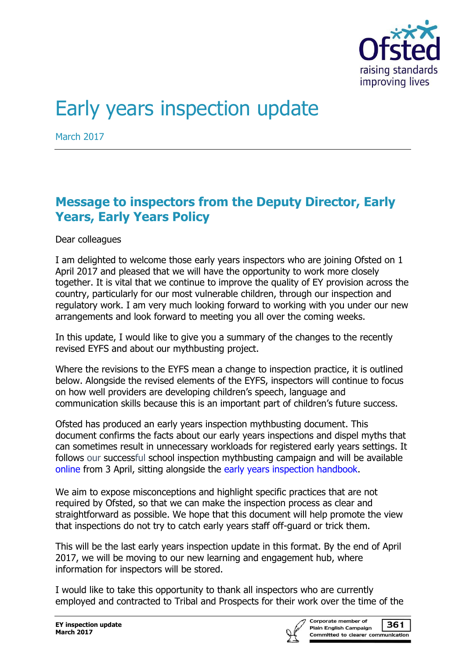

# Early years inspection update

March 2017

# **Message to inspectors from the Deputy Director, Early Years, Early Years Policy**

Dear colleagues

I am delighted to welcome those early years inspectors who are joining Ofsted on 1 April 2017 and pleased that we will have the opportunity to work more closely together. It is vital that we continue to improve the quality of EY provision across the country, particularly for our most vulnerable children, through our inspection and regulatory work. I am very much looking forward to working with you under our new arrangements and look forward to meeting you all over the coming weeks.

In this update, I would like to give you a summary of the changes to the recently revised EYFS and about our mythbusting project.

Where the revisions to the EYFS mean a change to inspection practice, it is outlined below. Alongside the revised elements of the EYFS, inspectors will continue to focus on how well providers are developing children's speech, language and communication skills because this is an important part of children's future success.

Ofsted has produced an early years inspection mythbusting document. This document confirms the facts about our early years inspections and dispel myths that can sometimes result in unnecessary workloads for registered early years settings. It follows our successful school inspection mythbusting campaign and will be available [online](http://www.gov.uk/government/publications/early-years-inspection-handbook-from-september-2015/early-years-inspections-myths) from 3 April, sitting alongside the [early years inspection handbook.](https://www.gov.uk/government/publications/early-years-inspection-handbook-from-september-2015)

We aim to expose misconceptions and highlight specific practices that are not required by Ofsted, so that we can make the inspection process as clear and straightforward as possible. We hope that this document will help promote the view that inspections do not try to catch early years staff off-guard or trick them.

This will be the last early years inspection update in this format. By the end of April 2017, we will be moving to our new learning and engagement hub, where information for inspectors will be stored.

I would like to take this opportunity to thank all inspectors who are currently employed and contracted to Tribal and Prospects for their work over the time of the

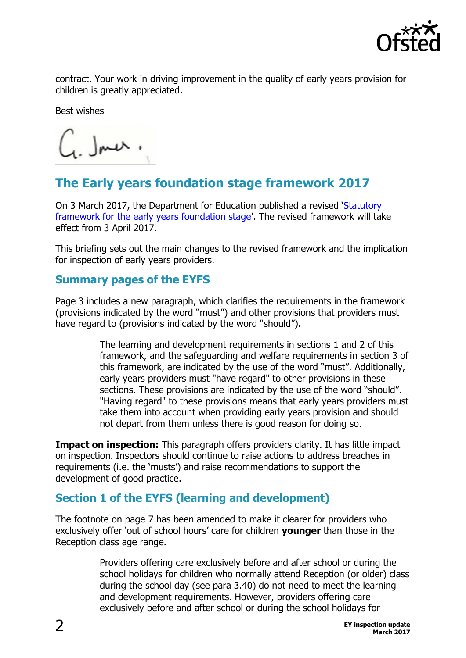

contract. Your work in driving improvement in the quality of early years provision for children is greatly appreciated.

Best wishes

 $\zeta$  . Jner.

# **The Early years foundation stage framework 2017**

On 3 March 2017, the Department for Education published a revised '[Statutory](https://www.gov.uk/government/publications/early-years-foundation-stage-framework--2)  framework [for the early years foundation stage](https://www.gov.uk/government/publications/early-years-foundation-stage-framework--2)'. The revised framework will take effect from 3 April 2017.

This briefing sets out the main changes to the revised framework and the implication for inspection of early years providers.

## **Summary pages of the EYFS**

Page 3 includes a new paragraph, which clarifies the requirements in the framework (provisions indicated by the word "must") and other provisions that providers must have regard to (provisions indicated by the word "should").

> The learning and development requirements in sections 1 and 2 of this framework, and the safeguarding and welfare requirements in section 3 of this framework, are indicated by the use of the word "must". Additionally, early years providers must "have regard" to other provisions in these sections. These provisions are indicated by the use of the word "should". "Having regard" to these provisions means that early years providers must take them into account when providing early years provision and should not depart from them unless there is good reason for doing so.

**Impact on inspection:** This paragraph offers providers clarity. It has little impact on inspection. Inspectors should continue to raise actions to address breaches in requirements (i.e. the 'musts') and raise recommendations to support the development of good practice.

## **Section 1 of the EYFS (learning and development)**

The footnote on page 7 has been amended to make it clearer for providers who exclusively offer 'out of school hours' care for children **younger** than those in the Reception class age range.

> Providers offering care exclusively before and after school or during the school holidays for children who normally attend Reception (or older) class during the school day (see para 3.40) do not need to meet the learning and development requirements. However, providers offering care exclusively before and after school or during the school holidays for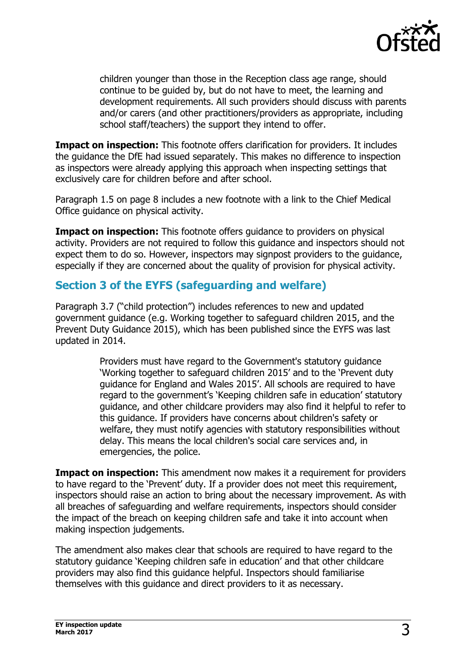

children younger than those in the Reception class age range, should continue to be guided by, but do not have to meet, the learning and development requirements. All such providers should discuss with parents and/or carers (and other practitioners/providers as appropriate, including school staff/teachers) the support they intend to offer.

**Impact on inspection:** This footnote offers clarification for providers. It includes the guidance the DfE had issued separately. This makes no difference to inspection as inspectors were already applying this approach when inspecting settings that exclusively care for children before and after school.

Paragraph 1.5 on page 8 includes a new footnote with a link to the Chief Medical Office guidance on physical activity.

**Impact on inspection:** This footnote offers guidance to providers on physical activity. Providers are not required to follow this guidance and inspectors should not expect them to do so. However, inspectors may signpost providers to the guidance, especially if they are concerned about the quality of provision for physical activity.

# **Section 3 of the EYFS (safeguarding and welfare)**

Paragraph 3.7 ("child protection") includes references to new and updated government guidance (e.g. Working together to safeguard children 2015, and the Prevent Duty Guidance 2015), which has been published since the EYFS was last updated in 2014.

> Providers must have regard to the Government's statutory guidance 'Working together to safeguard children 2015' and to the 'Prevent duty guidance for England and Wales 2015'. All schools are required to have regard to the government's 'Keeping children safe in education' statutory guidance, and other childcare providers may also find it helpful to refer to this guidance. If providers have concerns about children's safety or welfare, they must notify agencies with statutory responsibilities without delay. This means the local children's social care services and, in emergencies, the police.

**Impact on inspection:** This amendment now makes it a requirement for providers to have regard to the 'Prevent' duty. If a provider does not meet this requirement, inspectors should raise an action to bring about the necessary improvement. As with all breaches of safeguarding and welfare requirements, inspectors should consider the impact of the breach on keeping children safe and take it into account when making inspection judgements.

The amendment also makes clear that schools are required to have regard to the statutory guidance 'Keeping children safe in education' and that other childcare providers may also find this guidance helpful. Inspectors should familiarise themselves with this guidance and direct providers to it as necessary.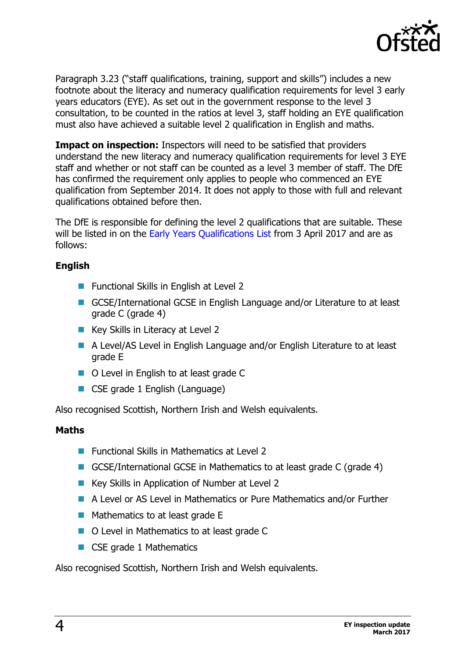

Paragraph 3.23 ("staff qualifications, training, support and skills") includes a new footnote about the literacy and numeracy qualification requirements for level 3 early years educators (EYE). As set out in the government response to the level 3 consultation, to be counted in the ratios at level 3, staff holding an EYE qualification must also have achieved a suitable level 2 qualification in English and maths.

**Impact on inspection:** Inspectors will need to be satisfied that providers understand the new literacy and numeracy qualification requirements for level 3 EYE staff and whether or not staff can be counted as a level 3 member of staff. The DfE has confirmed the requirement only applies to people who commenced an EYE qualification from September 2014. It does not apply to those with full and relevant qualifications obtained before then.

The DfE is responsible for defining the level 2 qualifications that are suitable. These will be listed in on the [Early Years Qualifications List](http://www.education.gov.uk/eypqd/) from 3 April 2017 and are as follows:

## **English**

- **Functional Skills in English at Level 2**
- GCSE/International GCSE in English Language and/or Literature to at least grade C (grade 4)
- Key Skills in Literacy at Level 2
- A Level/AS Level in English Language and/or English Literature to at least grade E
- O Level in English to at least grade C
- CSE grade 1 English (Language)

Also recognised Scottish, Northern Irish and Welsh equivalents.

#### **Maths**

- Functional Skills in Mathematics at Level 2
- GCSE/International GCSE in Mathematics to at least grade C (grade 4)
- Key Skills in Application of Number at Level 2
- A Level or AS Level in Mathematics or Pure Mathematics and/or Further
- $\blacksquare$  Mathematics to at least grade E
- O Level in Mathematics to at least grade C
- CSE grade 1 Mathematics

Also recognised Scottish, Northern Irish and Welsh equivalents.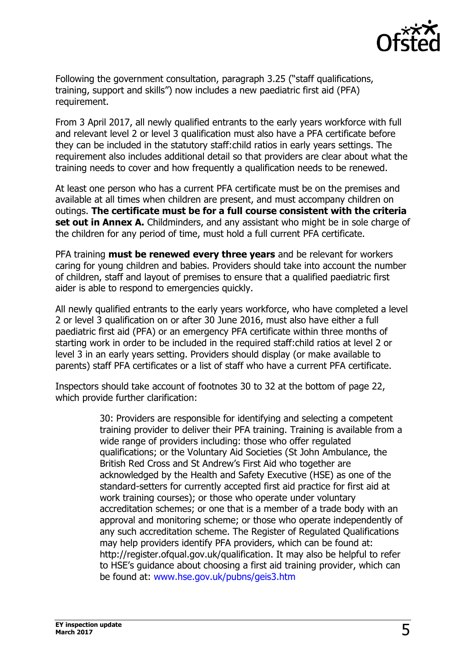

Following the government consultation, paragraph 3.25 ("staff qualifications, training, support and skills") now includes a new paediatric first aid (PFA) requirement.

From 3 April 2017, all newly qualified entrants to the early years workforce with full and relevant level 2 or level 3 qualification must also have a PFA certificate before they can be included in the statutory staff:child ratios in early years settings. The requirement also includes additional detail so that providers are clear about what the training needs to cover and how frequently a qualification needs to be renewed.

At least one person who has a current PFA certificate must be on the premises and available at all times when children are present, and must accompany children on outings. **The certificate must be for a full course consistent with the criteria set out in Annex A.** Childminders, and any assistant who might be in sole charge of the children for any period of time, must hold a full current PFA certificate.

PFA training **must be renewed every three years** and be relevant for workers caring for young children and babies. Providers should take into account the number of children, staff and layout of premises to ensure that a qualified paediatric first aider is able to respond to emergencies quickly.

All newly qualified entrants to the early years workforce, who have completed a level 2 or level 3 qualification on or after 30 June 2016, must also have either a full paediatric first aid (PFA) or an emergency PFA certificate within three months of starting work in order to be included in the required staff:child ratios at level 2 or level 3 in an early years setting. Providers should display (or make available to parents) staff PFA certificates or a list of staff who have a current PFA certificate.

Inspectors should take account of footnotes 30 to 32 at the bottom of page 22, which provide further clarification:

> 30: Providers are responsible for identifying and selecting a competent training provider to deliver their PFA training. Training is available from a wide range of providers including: those who offer regulated qualifications; or the Voluntary Aid Societies (St John Ambulance, the British Red Cross and St Andrew's First Aid who together are acknowledged by the Health and Safety Executive (HSE) as one of the standard-setters for currently accepted first aid practice for first aid at work training courses); or those who operate under voluntary accreditation schemes; or one that is a member of a trade body with an approval and monitoring scheme; or those who operate independently of any such accreditation scheme. The Register of Regulated Qualifications may help providers identify PFA providers, which can be found at: http://register.ofqual.gov.uk/qualification. It may also be helpful to refer to HSE's guidance about choosing a first aid training provider, which can be found at: [www.hse.gov.uk/pubns/geis3.htm](http://www.hse.gov.uk/pubns/geis3.htm)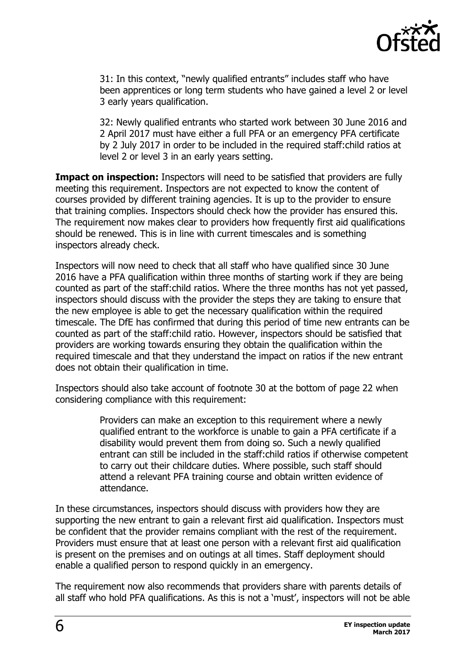

31: In this context, "newly qualified entrants" includes staff who have been apprentices or long term students who have gained a level 2 or level 3 early years qualification.

32: Newly qualified entrants who started work between 30 June 2016 and 2 April 2017 must have either a full PFA or an emergency PFA certificate by 2 July 2017 in order to be included in the required staff:child ratios at level 2 or level 3 in an early years setting.

**Impact on inspection:** Inspectors will need to be satisfied that providers are fully meeting this requirement. Inspectors are not expected to know the content of courses provided by different training agencies. It is up to the provider to ensure that training complies. Inspectors should check how the provider has ensured this. The requirement now makes clear to providers how frequently first aid qualifications should be renewed. This is in line with current timescales and is something inspectors already check.

Inspectors will now need to check that all staff who have qualified since 30 June 2016 have a PFA qualification within three months of starting work if they are being counted as part of the staff:child ratios. Where the three months has not yet passed, inspectors should discuss with the provider the steps they are taking to ensure that the new employee is able to get the necessary qualification within the required timescale. The DfE has confirmed that during this period of time new entrants can be counted as part of the staff:child ratio. However, inspectors should be satisfied that providers are working towards ensuring they obtain the qualification within the required timescale and that they understand the impact on ratios if the new entrant does not obtain their qualification in time.

Inspectors should also take account of footnote 30 at the bottom of page 22 when considering compliance with this requirement:

> Providers can make an exception to this requirement where a newly qualified entrant to the workforce is unable to gain a PFA certificate if a disability would prevent them from doing so. Such a newly qualified entrant can still be included in the staff:child ratios if otherwise competent to carry out their childcare duties. Where possible, such staff should attend a relevant PFA training course and obtain written evidence of attendance.

In these circumstances, inspectors should discuss with providers how they are supporting the new entrant to gain a relevant first aid qualification. Inspectors must be confident that the provider remains compliant with the rest of the requirement. Providers must ensure that at least one person with a relevant first aid qualification is present on the premises and on outings at all times. Staff deployment should enable a qualified person to respond quickly in an emergency.

The requirement now also recommends that providers share with parents details of all staff who hold PFA qualifications. As this is not a 'must', inspectors will not be able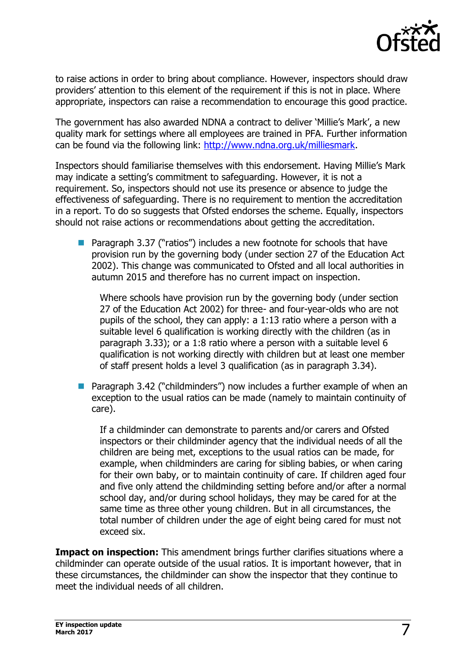

to raise actions in order to bring about compliance. However, inspectors should draw providers' attention to this element of the requirement if this is not in place. Where appropriate, inspectors can raise a recommendation to encourage this good practice.

The government has also awarded NDNA a contract to deliver 'Millie's Mark', a new quality mark for settings where all employees are trained in PFA. Further information can be found via the following link: [http://www.ndna.org.uk/milliesmark.](http://www.ndna.org.uk/milliesmark)

Inspectors should familiarise themselves with this endorsement. Having Millie's Mark may indicate a setting's commitment to safeguarding. However, it is not a requirement. So, inspectors should not use its presence or absence to judge the effectiveness of safeguarding. There is no requirement to mention the accreditation in a report. To do so suggests that Ofsted endorses the scheme. Equally, inspectors should not raise actions or recommendations about getting the accreditation.

 Paragraph 3.37 ("ratios") includes a new footnote for schools that have provision run by the governing body (under section 27 of the Education Act 2002). This change was communicated to Ofsted and all local authorities in autumn 2015 and therefore has no current impact on inspection.

Where schools have provision run by the governing body (under section 27 of the Education Act 2002) for three- and four-year-olds who are not pupils of the school, they can apply: a 1:13 ratio where a person with a suitable level 6 qualification is working directly with the children (as in paragraph 3.33); or a 1:8 ratio where a person with a suitable level 6 qualification is not working directly with children but at least one member of staff present holds a level 3 qualification (as in paragraph 3.34).

■ Paragraph 3.42 ("childminders") now includes a further example of when an exception to the usual ratios can be made (namely to maintain continuity of care).

If a childminder can demonstrate to parents and/or carers and Ofsted inspectors or their childminder agency that the individual needs of all the children are being met, exceptions to the usual ratios can be made, for example, when childminders are caring for sibling babies, or when caring for their own baby, or to maintain continuity of care. If children aged four and five only attend the childminding setting before and/or after a normal school day, and/or during school holidays, they may be cared for at the same time as three other young children. But in all circumstances, the total number of children under the age of eight being cared for must not exceed six.

**Impact on inspection:** This amendment brings further clarifies situations where a childminder can operate outside of the usual ratios. It is important however, that in these circumstances, the childminder can show the inspector that they continue to meet the individual needs of all children.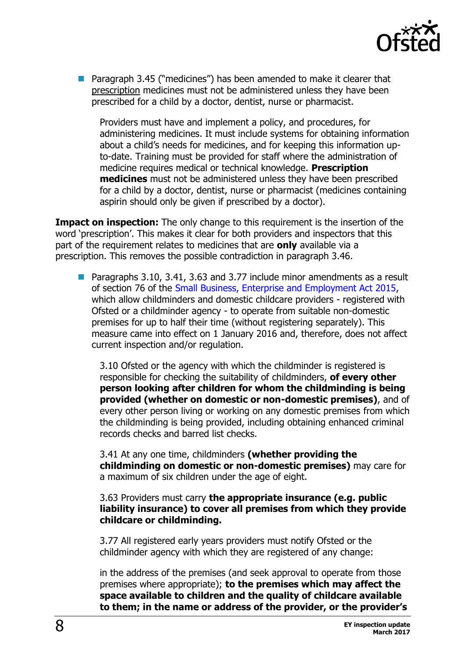

 Paragraph 3.45 ("medicines") has been amended to make it clearer that prescription medicines must not be administered unless they have been prescribed for a child by a doctor, dentist, nurse or pharmacist.

Providers must have and implement a policy, and procedures, for administering medicines. It must include systems for obtaining information about a child's needs for medicines, and for keeping this information upto-date. Training must be provided for staff where the administration of medicine requires medical or technical knowledge. **Prescription medicines** must not be administered unless they have been prescribed for a child by a doctor, dentist, nurse or pharmacist (medicines containing aspirin should only be given if prescribed by a doctor).

**Impact on inspection:** The only change to this requirement is the insertion of the word 'prescription'. This makes it clear for both providers and inspectors that this part of the requirement relates to medicines that are **only** available via a prescription. This removes the possible contradiction in paragraph 3.46.

■ Paragraphs 3.10, 3.41, 3.63 and 3.77 include minor amendments as a result of section 76 of the [Small Business, Enterprise and Employment Act 2015,](http://www.legislation.gov.uk/ukpga/2015/26/contents/enacted) which allow childminders and domestic childcare providers - registered with Ofsted or a childminder agency - to operate from suitable non-domestic premises for up to half their time (without registering separately). This measure came into effect on 1 January 2016 and, therefore, does not affect current inspection and/or regulation.

3.10 Ofsted or the agency with which the childminder is registered is responsible for checking the suitability of childminders, **of every other person looking after children for whom the childminding is being provided (whether on domestic or non-domestic premises)**, and of every other person living or working on any domestic premises from which the childminding is being provided, including obtaining enhanced criminal records checks and barred list checks.

3.41 At any one time, childminders **(whether providing the childminding on domestic or non-domestic premises)** may care for a maximum of six children under the age of eight.

#### 3.63 Providers must carry **the appropriate insurance (e.g. public liability insurance) to cover all premises from which they provide childcare or childminding.**

3.77 All registered early years providers must notify Ofsted or the childminder agency with which they are registered of any change:

in the address of the premises (and seek approval to operate from those premises where appropriate); **to the premises which may affect the space available to children and the quality of childcare available to them; in the name or address of the provider, or the provider's**